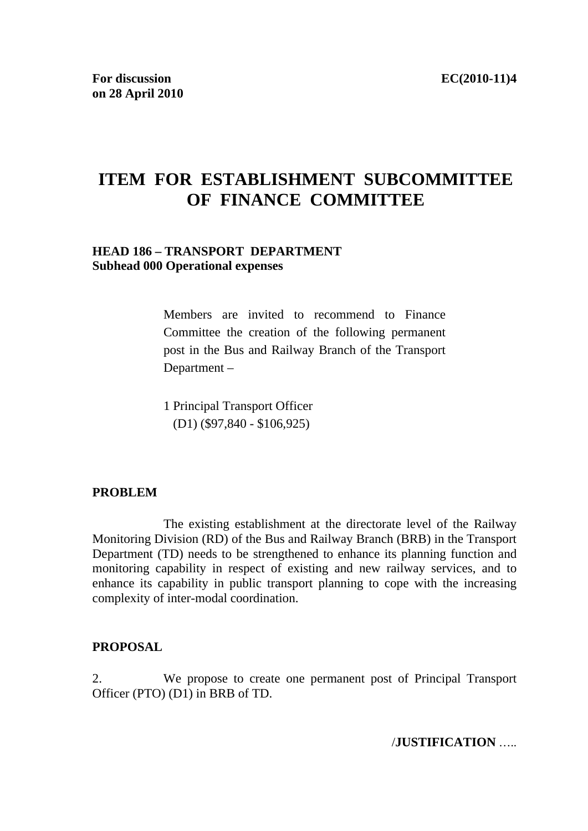# **ITEM FOR ESTABLISHMENT SUBCOMMITTEE OF FINANCE COMMITTEE**

#### **HEAD 186 – TRANSPORT DEPARTMENT Subhead 000 Operational expenses**

Members are invited to recommend to Finance Committee the creation of the following permanent post in the Bus and Railway Branch of the Transport Department –

1 Principal Transport Officer (D1) (\$97,840 - \$106,925)

#### **PROBLEM**

The existing establishment at the directorate level of the Railway Monitoring Division (RD) of the Bus and Railway Branch (BRB) in the Transport Department (TD) needs to be strengthened to enhance its planning function and monitoring capability in respect of existing and new railway services, and to enhance its capability in public transport planning to cope with the increasing complexity of inter-modal coordination.

#### **PROPOSAL**

2. We propose to create one permanent post of Principal Transport Officer (PTO) (D1) in BRB of TD.

/**JUSTIFICATION** …..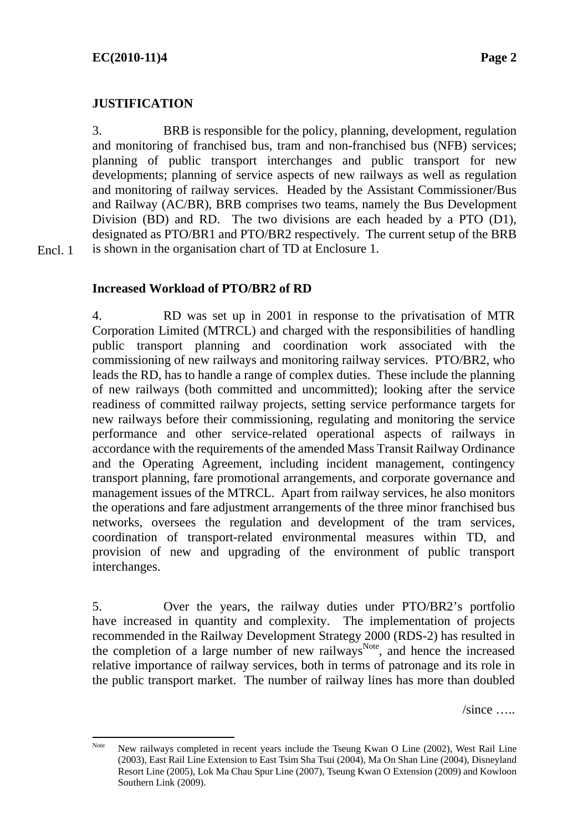## **JUSTIFICATION**

3. BRB is responsible for the policy, planning, development, regulation and monitoring of franchised bus, tram and non-franchised bus (NFB) services; planning of public transport interchanges and public transport for new developments; planning of service aspects of new railways as well as regulation and monitoring of railway services. Headed by the Assistant Commissioner/Bus and Railway (AC/BR), BRB comprises two teams, namely the Bus Development Division (BD) and RD. The two divisions are each headed by a PTO (D1), designated as PTO/BR1 and PTO/BR2 respectively. The current setup of the BRB is shown in the organisation chart of TD at Enclosure 1.

Encl. 1

## **Increased Workload of PTO/BR2 of RD**

4. RD was set up in 2001 in response to the privatisation of MTR Corporation Limited (MTRCL) and charged with the responsibilities of handling public transport planning and coordination work associated with the commissioning of new railways and monitoring railway services. PTO/BR2, who leads the RD, has to handle a range of complex duties. These include the planning of new railways (both committed and uncommitted); looking after the service readiness of committed railway projects, setting service performance targets for new railways before their commissioning, regulating and monitoring the service performance and other service-related operational aspects of railways in accordance with the requirements of the amended Mass Transit Railway Ordinance and the Operating Agreement, including incident management, contingency transport planning, fare promotional arrangements, and corporate governance and management issues of the MTRCL. Apart from railway services, he also monitors the operations and fare adjustment arrangements of the three minor franchised bus networks, oversees the regulation and development of the tram services, coordination of transport-related environmental measures within TD, and provision of new and upgrading of the environment of public transport interchanges.

5. Over the years, the railway duties under PTO/BR2's portfolio have increased in quantity and complexity. The implementation of projects recommended in the Railway Development Strategy 2000 (RDS-2) has resulted in the completion of a large number of new railways<sup>Note</sup>, and hence the increased relative importance of railway services, both in terms of patronage and its role in the public transport market. The number of railway lines has more than doubled

 $\sin$ ce  $\ldots$ 

Note New railways completed in recent years include the Tseung Kwan O Line (2002), West Rail Line (2003), East Rail Line Extension to East Tsim Sha Tsui (2004), Ma On Shan Line (2004), Disneyland Resort Line (2005), Lok Ma Chau Spur Line (2007), Tseung Kwan O Extension (2009) and Kowloon Southern Link (2009).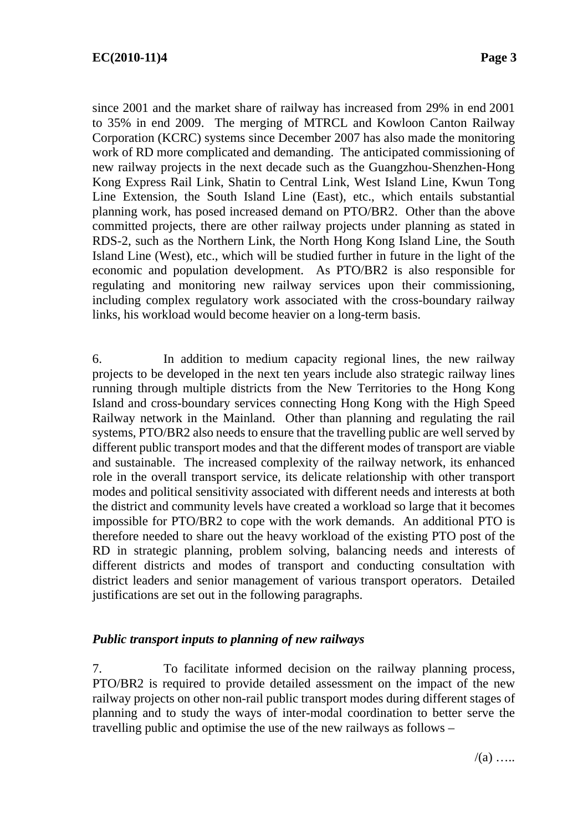since 2001 and the market share of railway has increased from 29% in end 2001 to 35% in end 2009. The merging of MTRCL and Kowloon Canton Railway Corporation (KCRC) systems since December 2007 has also made the monitoring work of RD more complicated and demanding. The anticipated commissioning of new railway projects in the next decade such as the Guangzhou-Shenzhen-Hong Kong Express Rail Link, Shatin to Central Link, West Island Line, Kwun Tong Line Extension, the South Island Line (East), etc., which entails substantial planning work, has posed increased demand on PTO/BR2. Other than the above committed projects, there are other railway projects under planning as stated in RDS-2, such as the Northern Link, the North Hong Kong Island Line, the South Island Line (West), etc., which will be studied further in future in the light of the economic and population development. As PTO/BR2 is also responsible for regulating and monitoring new railway services upon their commissioning, including complex regulatory work associated with the cross-boundary railway links, his workload would become heavier on a long-term basis.

6. In addition to medium capacity regional lines, the new railway projects to be developed in the next ten years include also strategic railway lines running through multiple districts from the New Territories to the Hong Kong Island and cross-boundary services connecting Hong Kong with the High Speed Railway network in the Mainland. Other than planning and regulating the rail systems, PTO/BR2 also needs to ensure that the travelling public are well served by different public transport modes and that the different modes of transport are viable and sustainable. The increased complexity of the railway network, its enhanced role in the overall transport service, its delicate relationship with other transport modes and political sensitivity associated with different needs and interests at both the district and community levels have created a workload so large that it becomes impossible for PTO/BR2 to cope with the work demands. An additional PTO is therefore needed to share out the heavy workload of the existing PTO post of the RD in strategic planning, problem solving, balancing needs and interests of different districts and modes of transport and conducting consultation with district leaders and senior management of various transport operators. Detailed justifications are set out in the following paragraphs.

## *Public transport inputs to planning of new railways*

7. To facilitate informed decision on the railway planning process, PTO/BR2 is required to provide detailed assessment on the impact of the new railway projects on other non-rail public transport modes during different stages of planning and to study the ways of inter-modal coordination to better serve the travelling public and optimise the use of the new railways as follows –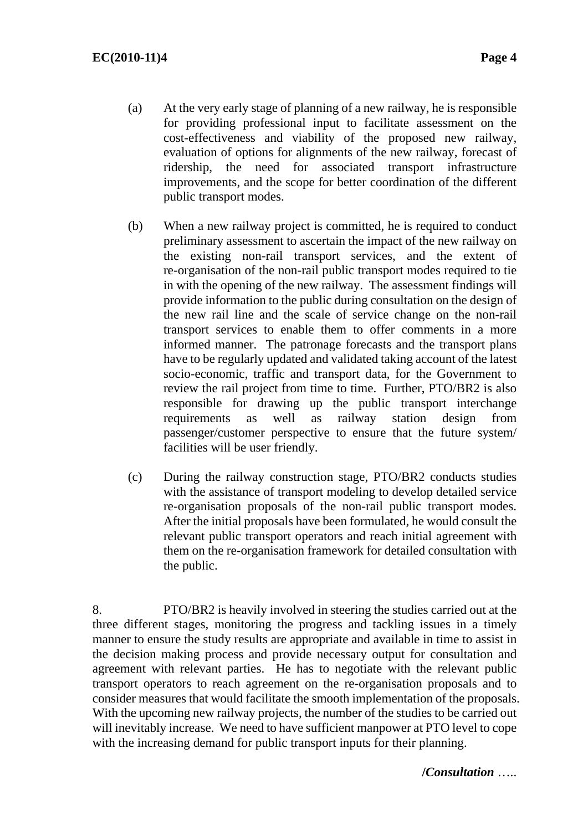- (a) At the very early stage of planning of a new railway, he is responsible for providing professional input to facilitate assessment on the cost-effectiveness and viability of the proposed new railway, evaluation of options for alignments of the new railway, forecast of ridership, the need for associated transport infrastructure improvements, and the scope for better coordination of the different public transport modes.
- (b) When a new railway project is committed, he is required to conduct preliminary assessment to ascertain the impact of the new railway on the existing non-rail transport services, and the extent of re-organisation of the non-rail public transport modes required to tie in with the opening of the new railway. The assessment findings will provide information to the public during consultation on the design of the new rail line and the scale of service change on the non-rail transport services to enable them to offer comments in a more informed manner. The patronage forecasts and the transport plans have to be regularly updated and validated taking account of the latest socio-economic, traffic and transport data, for the Government to review the rail project from time to time. Further, PTO/BR2 is also responsible for drawing up the public transport interchange requirements as well as railway station design from passenger/customer perspective to ensure that the future system/ facilities will be user friendly.
- (c) During the railway construction stage, PTO/BR2 conducts studies with the assistance of transport modeling to develop detailed service re-organisation proposals of the non-rail public transport modes. After the initial proposals have been formulated, he would consult the relevant public transport operators and reach initial agreement with them on the re-organisation framework for detailed consultation with the public.

8. PTO/BR2 is heavily involved in steering the studies carried out at the three different stages, monitoring the progress and tackling issues in a timely manner to ensure the study results are appropriate and available in time to assist in the decision making process and provide necessary output for consultation and agreement with relevant parties. He has to negotiate with the relevant public transport operators to reach agreement on the re-organisation proposals and to consider measures that would facilitate the smooth implementation of the proposals. With the upcoming new railway projects, the number of the studies to be carried out will inevitably increase. We need to have sufficient manpower at PTO level to cope with the increasing demand for public transport inputs for their planning.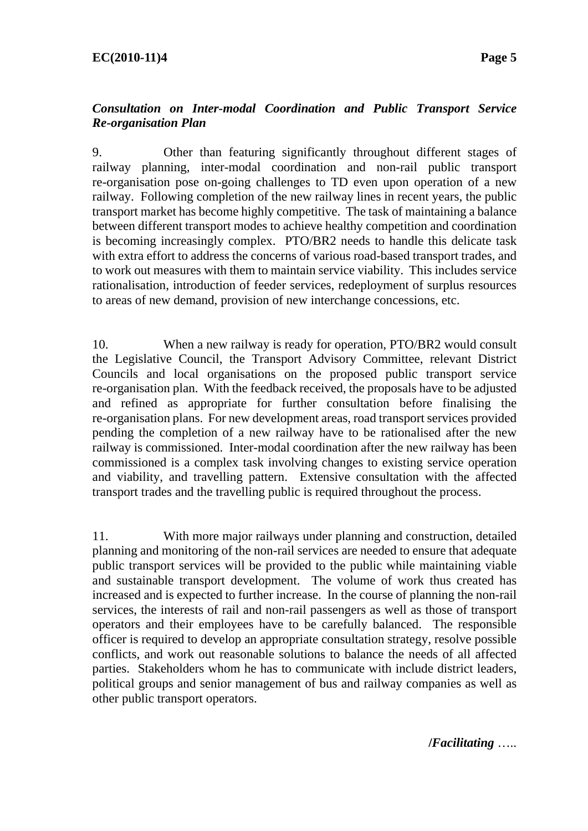### *Consultation on Inter-modal Coordination and Public Transport Service Re-organisation Plan*

9. Other than featuring significantly throughout different stages of railway planning, inter-modal coordination and non-rail public transport re-organisation pose on-going challenges to TD even upon operation of a new railway. Following completion of the new railway lines in recent years, the public transport market has become highly competitive. The task of maintaining a balance between different transport modes to achieve healthy competition and coordination is becoming increasingly complex. PTO/BR2 needs to handle this delicate task with extra effort to address the concerns of various road-based transport trades, and to work out measures with them to maintain service viability. This includes service rationalisation, introduction of feeder services, redeployment of surplus resources to areas of new demand, provision of new interchange concessions, etc.

10. When a new railway is ready for operation, PTO/BR2 would consult the Legislative Council, the Transport Advisory Committee, relevant District Councils and local organisations on the proposed public transport service re-organisation plan. With the feedback received, the proposals have to be adjusted and refined as appropriate for further consultation before finalising the re-organisation plans. For new development areas, road transport services provided pending the completion of a new railway have to be rationalised after the new railway is commissioned. Inter-modal coordination after the new railway has been commissioned is a complex task involving changes to existing service operation and viability, and travelling pattern. Extensive consultation with the affected transport trades and the travelling public is required throughout the process.

11. With more major railways under planning and construction, detailed planning and monitoring of the non-rail services are needed to ensure that adequate public transport services will be provided to the public while maintaining viable and sustainable transport development. The volume of work thus created has increased and is expected to further increase. In the course of planning the non-rail services, the interests of rail and non-rail passengers as well as those of transport operators and their employees have to be carefully balanced. The responsible officer is required to develop an appropriate consultation strategy, resolve possible conflicts, and work out reasonable solutions to balance the needs of all affected parties. Stakeholders whom he has to communicate with include district leaders, political groups and senior management of bus and railway companies as well as other public transport operators.

**/***Facilitating* …..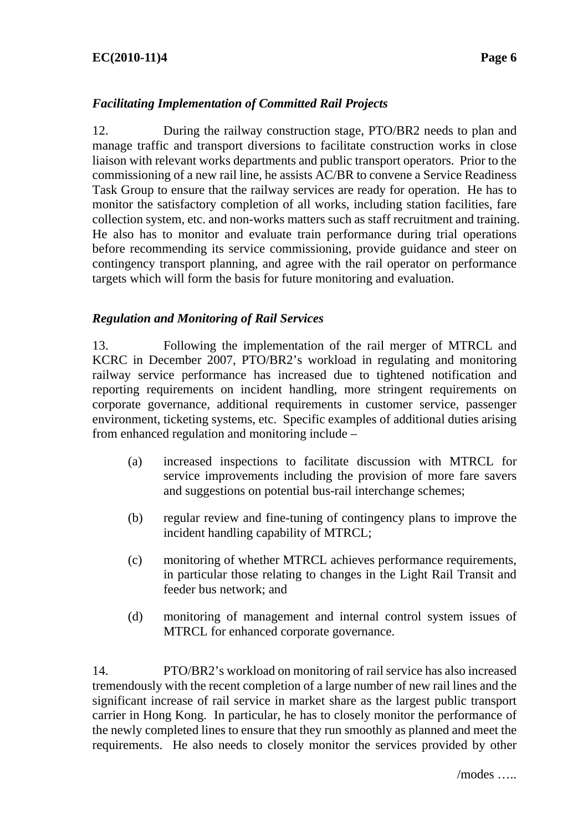## **EC(2010-11)4 Page 6**

## *Facilitating Implementation of Committed Rail Projects*

12. During the railway construction stage, PTO/BR2 needs to plan and manage traffic and transport diversions to facilitate construction works in close liaison with relevant works departments and public transport operators. Prior to the commissioning of a new rail line, he assists AC/BR to convene a Service Readiness Task Group to ensure that the railway services are ready for operation. He has to monitor the satisfactory completion of all works, including station facilities, fare collection system, etc. and non-works matters such as staff recruitment and training. He also has to monitor and evaluate train performance during trial operations before recommending its service commissioning, provide guidance and steer on contingency transport planning, and agree with the rail operator on performance targets which will form the basis for future monitoring and evaluation.

#### *Regulation and Monitoring of Rail Services*

13. Following the implementation of the rail merger of MTRCL and KCRC in December 2007, PTO/BR2's workload in regulating and monitoring railway service performance has increased due to tightened notification and reporting requirements on incident handling, more stringent requirements on corporate governance, additional requirements in customer service, passenger environment, ticketing systems, etc. Specific examples of additional duties arising from enhanced regulation and monitoring include –

- (a) increased inspections to facilitate discussion with MTRCL for service improvements including the provision of more fare savers and suggestions on potential bus-rail interchange schemes;
- (b) regular review and fine-tuning of contingency plans to improve the incident handling capability of MTRCL;
- (c) monitoring of whether MTRCL achieves performance requirements, in particular those relating to changes in the Light Rail Transit and feeder bus network; and
- (d) monitoring of management and internal control system issues of MTRCL for enhanced corporate governance.

14. PTO/BR2's workload on monitoring of rail service has also increased tremendously with the recent completion of a large number of new rail lines and the significant increase of rail service in market share as the largest public transport carrier in Hong Kong. In particular, he has to closely monitor the performance of the newly completed lines to ensure that they run smoothly as planned and meet the requirements. He also needs to closely monitor the services provided by other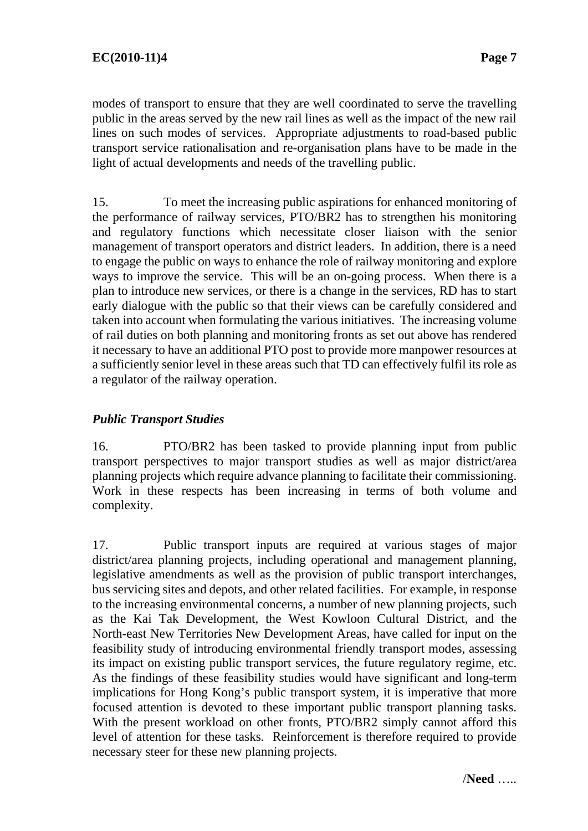modes of transport to ensure that they are well coordinated to serve the travelling public in the areas served by the new rail lines as well as the impact of the new rail lines on such modes of services. Appropriate adjustments to road-based public transport service rationalisation and re-organisation plans have to be made in the light of actual developments and needs of the travelling public.

15. To meet the increasing public aspirations for enhanced monitoring of the performance of railway services, PTO/BR2 has to strengthen his monitoring and regulatory functions which necessitate closer liaison with the senior management of transport operators and district leaders. In addition, there is a need to engage the public on ways to enhance the role of railway monitoring and explore ways to improve the service. This will be an on-going process. When there is a plan to introduce new services, or there is a change in the services, RD has to start early dialogue with the public so that their views can be carefully considered and taken into account when formulating the various initiatives. The increasing volume of rail duties on both planning and monitoring fronts as set out above has rendered it necessary to have an additional PTO post to provide more manpower resources at a sufficiently senior level in these areas such that TD can effectively fulfil its role as a regulator of the railway operation.

# *Public Transport Studies*

16. PTO/BR2 has been tasked to provide planning input from public transport perspectives to major transport studies as well as major district/area planning projects which require advance planning to facilitate their commissioning. Work in these respects has been increasing in terms of both volume and complexity.

17. Public transport inputs are required at various stages of major district/area planning projects, including operational and management planning, legislative amendments as well as the provision of public transport interchanges, bus servicing sites and depots, and other related facilities. For example, in response to the increasing environmental concerns, a number of new planning projects, such as the Kai Tak Development, the West Kowloon Cultural District, and the North-east New Territories New Development Areas, have called for input on the feasibility study of introducing environmental friendly transport modes, assessing its impact on existing public transport services, the future regulatory regime, etc. As the findings of these feasibility studies would have significant and long-term implications for Hong Kong's public transport system, it is imperative that more focused attention is devoted to these important public transport planning tasks. With the present workload on other fronts, PTO/BR2 simply cannot afford this level of attention for these tasks. Reinforcement is therefore required to provide necessary steer for these new planning projects.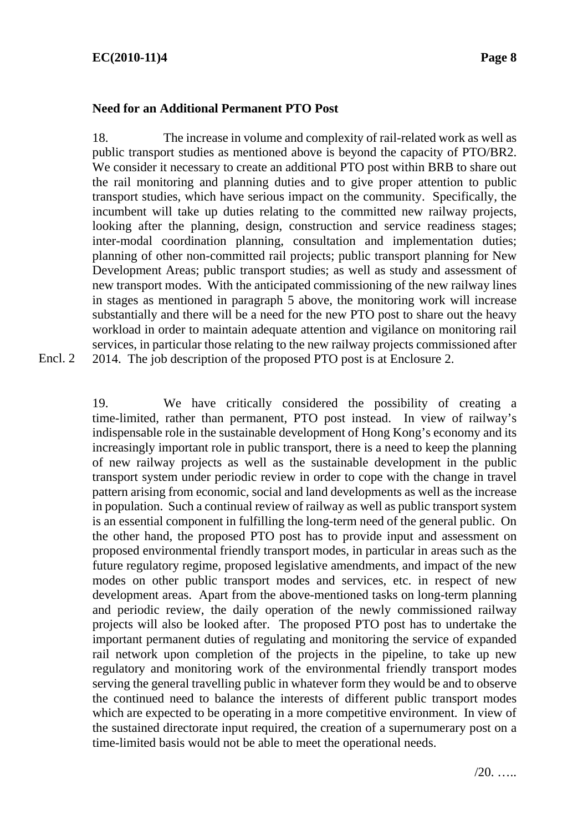#### **Need for an Additional Permanent PTO Post**

18. The increase in volume and complexity of rail-related work as well as public transport studies as mentioned above is beyond the capacity of PTO/BR2. We consider it necessary to create an additional PTO post within BRB to share out the rail monitoring and planning duties and to give proper attention to public transport studies, which have serious impact on the community. Specifically, the incumbent will take up duties relating to the committed new railway projects, looking after the planning, design, construction and service readiness stages; inter-modal coordination planning, consultation and implementation duties; planning of other non-committed rail projects; public transport planning for New Development Areas; public transport studies; as well as study and assessment of new transport modes. With the anticipated commissioning of the new railway lines in stages as mentioned in paragraph 5 above, the monitoring work will increase substantially and there will be a need for the new PTO post to share out the heavy workload in order to maintain adequate attention and vigilance on monitoring rail services, in particular those relating to the new railway projects commissioned after 2014. The job description of the proposed PTO post is at Enclosure 2.

Encl. 2

19. We have critically considered the possibility of creating a time-limited, rather than permanent, PTO post instead. In view of railway's indispensable role in the sustainable development of Hong Kong's economy and its increasingly important role in public transport, there is a need to keep the planning of new railway projects as well as the sustainable development in the public transport system under periodic review in order to cope with the change in travel pattern arising from economic, social and land developments as well as the increase in population. Such a continual review of railway as well as public transport system is an essential component in fulfilling the long-term need of the general public. On the other hand, the proposed PTO post has to provide input and assessment on proposed environmental friendly transport modes, in particular in areas such as the future regulatory regime, proposed legislative amendments, and impact of the new modes on other public transport modes and services, etc. in respect of new development areas. Apart from the above-mentioned tasks on long-term planning and periodic review, the daily operation of the newly commissioned railway projects will also be looked after. The proposed PTO post has to undertake the important permanent duties of regulating and monitoring the service of expanded rail network upon completion of the projects in the pipeline, to take up new regulatory and monitoring work of the environmental friendly transport modes serving the general travelling public in whatever form they would be and to observe the continued need to balance the interests of different public transport modes which are expected to be operating in a more competitive environment. In view of the sustained directorate input required, the creation of a supernumerary post on a time-limited basis would not be able to meet the operational needs.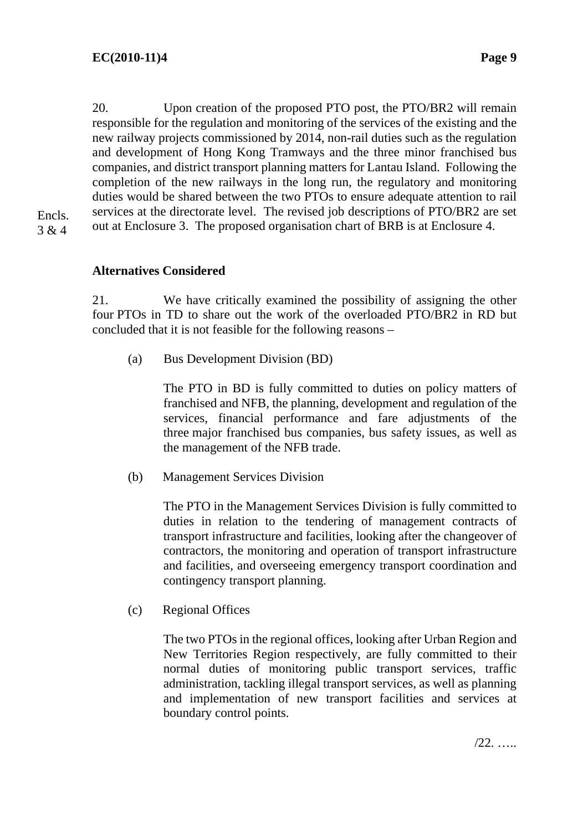20. Upon creation of the proposed PTO post, the PTO/BR2 will remain responsible for the regulation and monitoring of the services of the existing and the new railway projects commissioned by 2014, non-rail duties such as the regulation and development of Hong Kong Tramways and the three minor franchised bus companies, and district transport planning matters for Lantau Island. Following the completion of the new railways in the long run, the regulatory and monitoring duties would be shared between the two PTOs to ensure adequate attention to rail services at the directorate level. The revised job descriptions of PTO/BR2 are set out at Enclosure 3. The proposed organisation chart of BRB is at Enclosure 4.

Encls. 3 & 4

# **Alternatives Considered**

21. We have critically examined the possibility of assigning the other four PTOs in TD to share out the work of the overloaded PTO/BR2 in RD but concluded that it is not feasible for the following reasons –

(a) Bus Development Division (BD)

 The PTO in BD is fully committed to duties on policy matters of franchised and NFB, the planning, development and regulation of the services, financial performance and fare adjustments of the three major franchised bus companies, bus safety issues, as well as the management of the NFB trade.

(b) Management Services Division

 The PTO in the Management Services Division is fully committed to duties in relation to the tendering of management contracts of transport infrastructure and facilities, looking after the changeover of contractors, the monitoring and operation of transport infrastructure and facilities, and overseeing emergency transport coordination and contingency transport planning.

(c) Regional Offices

 The two PTOs in the regional offices, looking after Urban Region and New Territories Region respectively, are fully committed to their normal duties of monitoring public transport services, traffic administration, tackling illegal transport services, as well as planning and implementation of new transport facilities and services at boundary control points.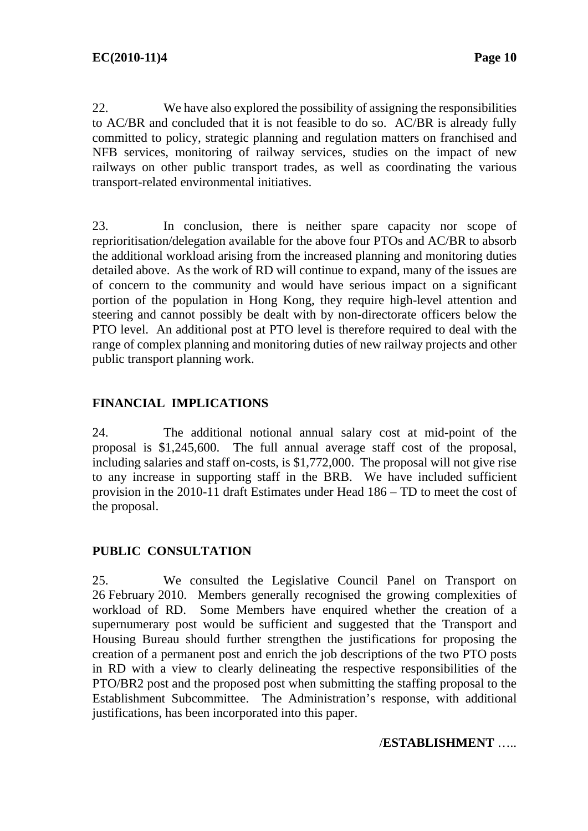22. We have also explored the possibility of assigning the responsibilities to AC/BR and concluded that it is not feasible to do so. AC/BR is already fully committed to policy, strategic planning and regulation matters on franchised and NFB services, monitoring of railway services, studies on the impact of new railways on other public transport trades, as well as coordinating the various transport-related environmental initiatives.

23. In conclusion, there is neither spare capacity nor scope of reprioritisation/delegation available for the above four PTOs and AC/BR to absorb the additional workload arising from the increased planning and monitoring duties detailed above. As the work of RD will continue to expand, many of the issues are of concern to the community and would have serious impact on a significant portion of the population in Hong Kong, they require high-level attention and steering and cannot possibly be dealt with by non-directorate officers below the PTO level. An additional post at PTO level is therefore required to deal with the range of complex planning and monitoring duties of new railway projects and other public transport planning work.

# **FINANCIAL IMPLICATIONS**

24. The additional notional annual salary cost at mid-point of the proposal is \$1,245,600. The full annual average staff cost of the proposal, including salaries and staff on-costs, is \$1,772,000. The proposal will not give rise to any increase in supporting staff in the BRB. We have included sufficient provision in the 2010-11 draft Estimates under Head 186 – TD to meet the cost of the proposal.

# **PUBLIC CONSULTATION**

25. We consulted the Legislative Council Panel on Transport on 26 February 2010. Members generally recognised the growing complexities of workload of RD. Some Members have enquired whether the creation of a supernumerary post would be sufficient and suggested that the Transport and Housing Bureau should further strengthen the justifications for proposing the creation of a permanent post and enrich the job descriptions of the two PTO posts in RD with a view to clearly delineating the respective responsibilities of the PTO/BR2 post and the proposed post when submitting the staffing proposal to the Establishment Subcommittee. The Administration's response, with additional justifications, has been incorporated into this paper.

## /**ESTABLISHMENT** …..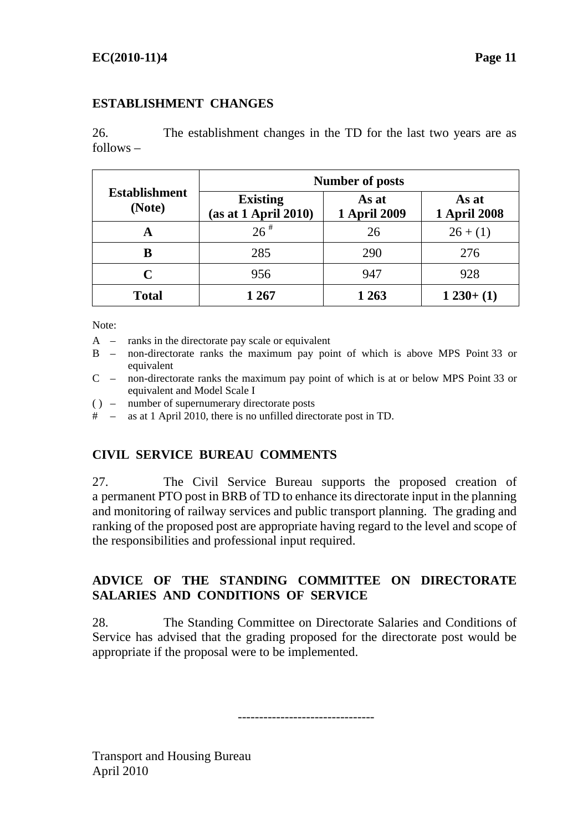# **ESTABLISHMENT CHANGES**

26. The establishment changes in the TD for the last two years are as follows –

| <b>Establishment</b><br>(Note) | <b>Number of posts</b>                  |                              |                              |  |
|--------------------------------|-----------------------------------------|------------------------------|------------------------------|--|
|                                | <b>Existing</b><br>(as at 1 April 2010) | As at<br><b>1 April 2009</b> | As at<br><b>1 April 2008</b> |  |
| A                              | $26$ <sup>#</sup>                       | 26                           | $26+(1)$                     |  |
| В                              | 285                                     | 290                          | 276                          |  |
| C                              | 956                                     | 947                          | 928                          |  |
| <b>Total</b>                   | 1 267                                   | 1 2 6 3                      | $1230+(1)$                   |  |

Note:

- A ranks in the directorate pay scale or equivalent
- B non-directorate ranks the maximum pay point of which is above MPS Point 33 or equivalent
- C non-directorate ranks the maximum pay point of which is at or below MPS Point 33 or equivalent and Model Scale I
- ( ) number of supernumerary directorate posts
- # as at 1 April 2010, there is no unfilled directorate post in TD.

# **CIVIL SERVICE BUREAU COMMENTS**

27. The Civil Service Bureau supports the proposed creation of a permanent PTO post in BRB of TD to enhance its directorate input in the planning and monitoring of railway services and public transport planning. The grading and ranking of the proposed post are appropriate having regard to the level and scope of the responsibilities and professional input required.

# **ADVICE OF THE STANDING COMMITTEE ON DIRECTORATE SALARIES AND CONDITIONS OF SERVICE**

28. The Standing Committee on Directorate Salaries and Conditions of Service has advised that the grading proposed for the directorate post would be appropriate if the proposal were to be implemented.

--------------------------------

Transport and Housing Bureau April 2010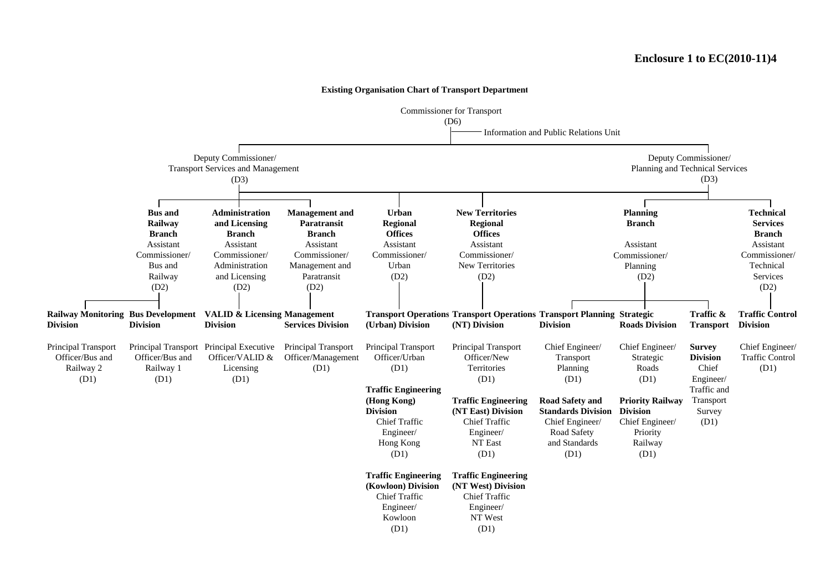Commissioner for Transport (D6) Information and Public Relations Unit (D3) **Planning Branch**AssistantCommissioner/Planning (D2) (D2) (D2) (D2) **Railway Monitoring Bus Development VALID & Licensing Management Transport Operations Transport Operations Transport Planning Strategic Traffic & Traffic Control Division Division Division Services Division (Urban) Division (NT) Division Division Roads Division Transport Division** Principal Transport Principal Transport Principal Executive Principal Transport Principal Transport Transport Chief Engineer/ Chief Engineer/ Survey **DivisionTraffic Engineering (Hong Kong) Traffic Engineering Road Safety and Priority Railway Division (NT East) Division Standards Division Division Traffic Engineering Traffic Engineering (Kowloon) Division (NT West) Division Bus and Railway** (D1) **Branch**AssistantCommissioner/ Bus andRailway (D1) Engineer/ Kowloon Chief TrafficEngineer/ Hong Kong (D1) Chief Traffic Chief Traffic Engineer/ NT East (D1) Chief Traffic Engineer/ NT West (D1) Licensing Officer/VALID &(D1) Principal Transport Officer/Management (D1) Officer/Urban(D1) Officer/NewTerritories Officer/Bus andRailway 2 (D1) Railway 1 Officer/Bus andSurvey (D1) Traffic andTransport **Regional** Chief Engineer/ Strategic Roads (D1) (D1) (D1)**Offices**New Territories**UrbanRegional Offices**Assistant Assistant Assistant Assistant Administrationand Licensing Paratransit Management and (D2) Commissioner/Urban(D2) **Administrationand Licensing Branch**Assistant**Paratransit**Commissioner/ (D3) **Management and Urban New Territories** Commissioner/ **Branch**Commissioner/ Deputy Commissioner/ Transport Services and Management Deputy Commissioner/ Planning and Technical Services **Technical ServicesBranch**AssistantChief Engineer/ Chief Engineer/ Commissioner/ Technical Services(D2) Chief Engineer/ Transport Planning Chief Engineer/ (D1) and Standards (D1) Chief Engineer/ Traffic Control (D1) Road Safety Railway Priority

**Existing Organisation Chart of Transport Department**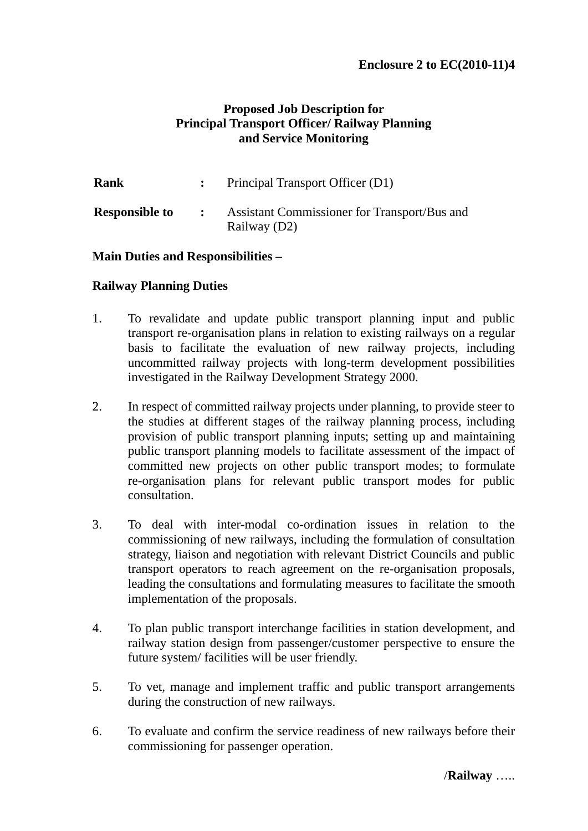# **Proposed Job Description for Principal Transport Officer/ Railway Planning and Service Monitoring**

| <b>Rank</b>           |              | Principal Transport Officer (D1)                             |
|-----------------------|--------------|--------------------------------------------------------------|
| <b>Responsible to</b> | $\mathbf{r}$ | Assistant Commissioner for Transport/Bus and<br>Railway (D2) |

## **Main Duties and Responsibilities –**

## **Railway Planning Duties**

- 1. To revalidate and update public transport planning input and public transport re-organisation plans in relation to existing railways on a regular basis to facilitate the evaluation of new railway projects, including uncommitted railway projects with long-term development possibilities investigated in the Railway Development Strategy 2000.
- 2. In respect of committed railway projects under planning, to provide steer to the studies at different stages of the railway planning process, including provision of public transport planning inputs; setting up and maintaining public transport planning models to facilitate assessment of the impact of committed new projects on other public transport modes; to formulate re-organisation plans for relevant public transport modes for public consultation.
- 3. To deal with inter-modal co-ordination issues in relation to the commissioning of new railways, including the formulation of consultation strategy, liaison and negotiation with relevant District Councils and public transport operators to reach agreement on the re-organisation proposals, leading the consultations and formulating measures to facilitate the smooth implementation of the proposals.
- 4. To plan public transport interchange facilities in station development, and railway station design from passenger/customer perspective to ensure the future system/ facilities will be user friendly.
- 5. To vet, manage and implement traffic and public transport arrangements during the construction of new railways.
- 6. To evaluate and confirm the service readiness of new railways before their commissioning for passenger operation.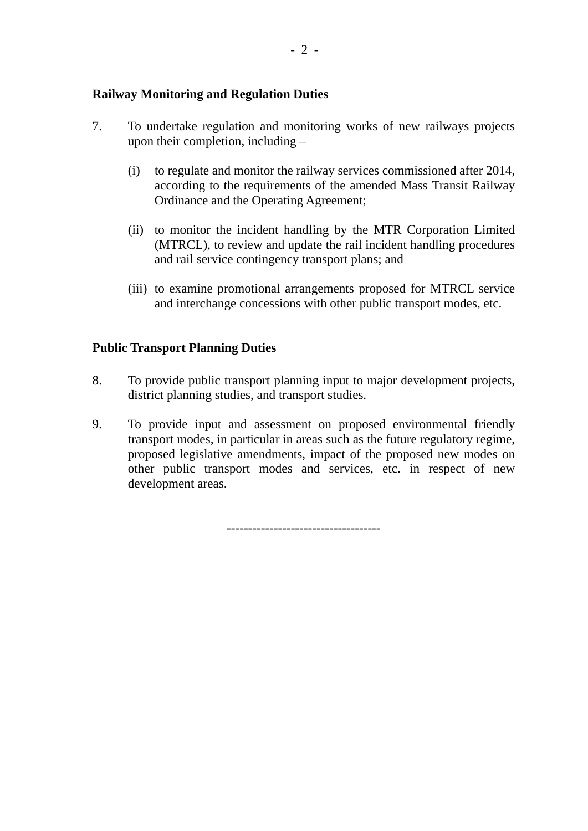#### **Railway Monitoring and Regulation Duties**

- 7. To undertake regulation and monitoring works of new railways projects upon their completion, including –
	- (i) to regulate and monitor the railway services commissioned after 2014, according to the requirements of the amended Mass Transit Railway Ordinance and the Operating Agreement;
	- (ii) to monitor the incident handling by the MTR Corporation Limited (MTRCL), to review and update the rail incident handling procedures and rail service contingency transport plans; and
	- (iii) to examine promotional arrangements proposed for MTRCL service and interchange concessions with other public transport modes, etc.

## **Public Transport Planning Duties**

- 8. To provide public transport planning input to major development projects, district planning studies, and transport studies.
- 9. To provide input and assessment on proposed environmental friendly transport modes, in particular in areas such as the future regulatory regime, proposed legislative amendments, impact of the proposed new modes on other public transport modes and services, etc. in respect of new development areas.

------------------------------------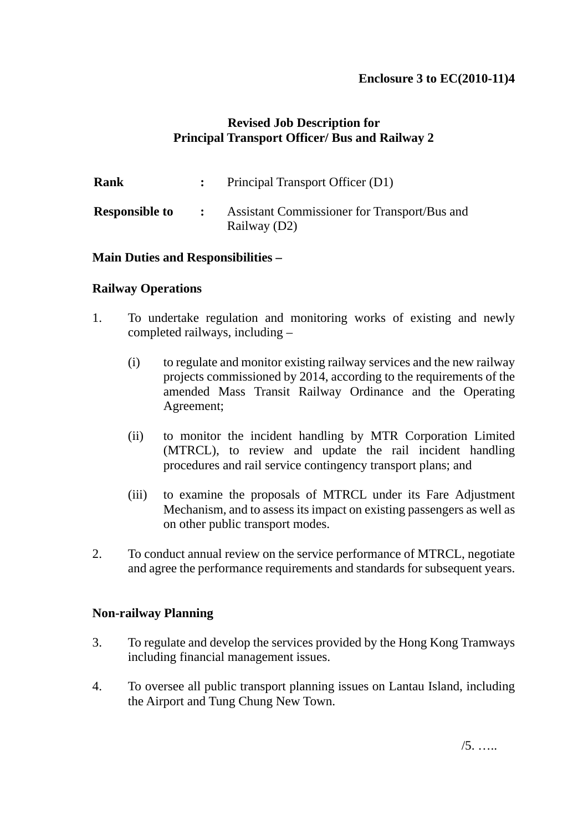# **Revised Job Description for Principal Transport Officer/ Bus and Railway 2**

| Rank                  |                                            | : Principal Transport Officer $(D1)$                         |
|-----------------------|--------------------------------------------|--------------------------------------------------------------|
| <b>Responsible to</b> | $\mathbb{R}^n$ . The set of $\mathbb{R}^n$ | Assistant Commissioner for Transport/Bus and<br>Railway (D2) |

#### **Main Duties and Responsibilities –**

#### **Railway Operations**

- 1. To undertake regulation and monitoring works of existing and newly completed railways, including –
	- (i) to regulate and monitor existing railway services and the new railway projects commissioned by 2014, according to the requirements of the amended Mass Transit Railway Ordinance and the Operating Agreement;
	- (ii) to monitor the incident handling by MTR Corporation Limited (MTRCL), to review and update the rail incident handling procedures and rail service contingency transport plans; and
	- (iii) to examine the proposals of MTRCL under its Fare Adjustment Mechanism, and to assess its impact on existing passengers as well as on other public transport modes.
- 2. To conduct annual review on the service performance of MTRCL, negotiate and agree the performance requirements and standards for subsequent years.

## **Non-railway Planning**

- 3. To regulate and develop the services provided by the Hong Kong Tramways including financial management issues.
- 4. To oversee all public transport planning issues on Lantau Island, including the Airport and Tung Chung New Town.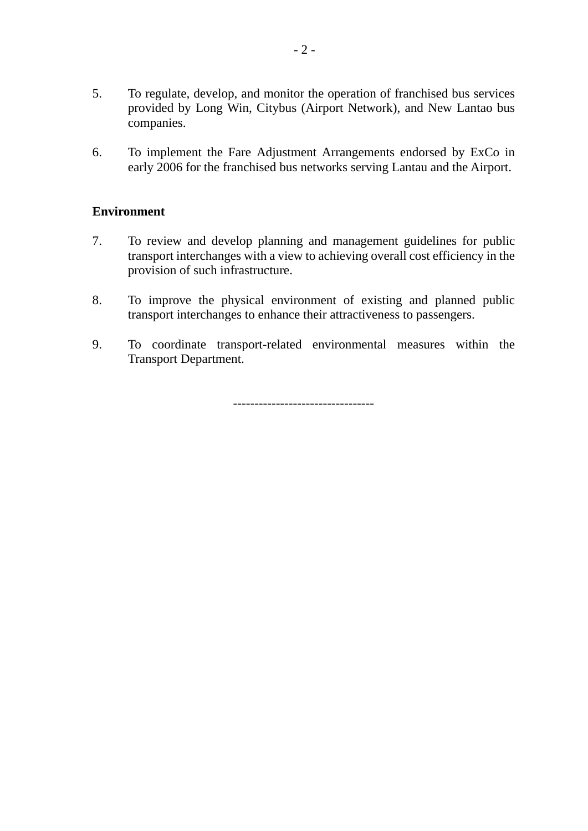- 5. To regulate, develop, and monitor the operation of franchised bus services provided by Long Win, Citybus (Airport Network), and New Lantao bus companies.
- 6. To implement the Fare Adjustment Arrangements endorsed by ExCo in early 2006 for the franchised bus networks serving Lantau and the Airport.

## **Environment**

- 7. To review and develop planning and management guidelines for public transport interchanges with a view to achieving overall cost efficiency in the provision of such infrastructure.
- 8. To improve the physical environment of existing and planned public transport interchanges to enhance their attractiveness to passengers.
- 9. To coordinate transport-related environmental measures within the Transport Department.

---------------------------------